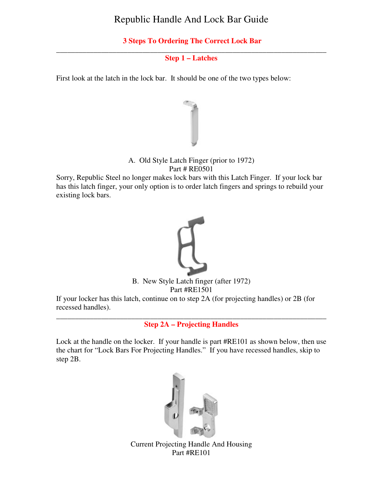# Republic Handle And Lock Bar Guide

# **3 Steps To Ordering The Correct Lock Bar**

#### \_\_\_\_\_\_\_\_\_\_\_\_\_\_\_\_\_\_\_\_\_\_\_\_\_\_\_\_\_\_\_\_\_\_\_\_\_\_\_\_\_\_\_\_\_\_\_\_\_\_\_\_\_\_\_\_\_\_\_\_\_\_\_\_\_\_\_\_\_\_\_\_ **Step 1 – Latches**

First look at the latch in the lock bar. It should be one of the two types below:



## A. Old Style Latch Finger (prior to 1972) Part # RE0501

Sorry, Republic Steel no longer makes lock bars with this Latch Finger. If your lock bar has this latch finger, your only option is to order latch fingers and springs to rebuild your existing lock bars.



B. New Style Latch finger (after 1972) Part #RE1501

If your locker has this latch, continue on to step 2A (for projecting handles) or 2B (for recessed handles).

\_\_\_\_\_\_\_\_\_\_\_\_\_\_\_\_\_\_\_\_\_\_\_\_\_\_\_\_\_\_\_\_\_\_\_\_\_\_\_\_\_\_\_\_\_\_\_\_\_\_\_\_\_\_\_\_\_\_\_\_\_\_\_\_\_\_\_\_\_\_\_\_ **Step 2A – Projecting Handles** 

Lock at the handle on the locker. If your handle is part #RE101 as shown below, then use the chart for "Lock Bars For Projecting Handles." If you have recessed handles, skip to step 2B.



Current Projecting Handle And Housing Part #RE101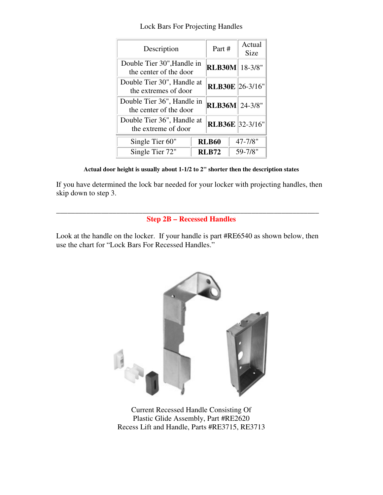| LOCK Data For Frojecting Francies                    |                        |                       |  |  |
|------------------------------------------------------|------------------------|-----------------------|--|--|
| Description                                          | Part #                 | Actual<br><b>Size</b> |  |  |
| Double Tier 30", Handle in<br>the center of the door | <b>RLB30M</b> 18-3/8"  |                       |  |  |
| Double Tier 30", Handle at<br>the extremes of door   | <b>RLB30E</b> 26-3/16" |                       |  |  |
| Double Tier 36", Handle in<br>the center of the door | <b>RLB36M</b> 24-3/8"  |                       |  |  |

Double Tier 36", Handle at

Lock Bars For Projecting Handles

| Actual door height is usually about 1-1/2 to 2" shorter then the description states |  |
|-------------------------------------------------------------------------------------|--|
|-------------------------------------------------------------------------------------|--|

the extreme of door **RLB36E**  $32-3/16$ "

**Single Tier 60" RLB60** 47-7/8" **Single Tier 72" RLB72** 59-7/8"

If you have determined the lock bar needed for your locker with projecting handles, then skip down to step 3.

#### \_\_\_\_\_\_\_\_\_\_\_\_\_\_\_\_\_\_\_\_\_\_\_\_\_\_\_\_\_\_\_\_\_\_\_\_\_\_\_\_\_\_\_\_\_\_\_\_\_\_\_\_\_\_\_\_\_\_\_\_\_\_\_\_\_\_\_\_\_\_ **Step 2B – Recessed Handles**

Look at the handle on the locker. If your handle is part #RE6540 as shown below, then use the chart for "Lock Bars For Recessed Handles."



Current Recessed Handle Consisting Of Plastic Glide Assembly, Part #RE2620 Recess Lift and Handle, Parts #RE3715, RE3713